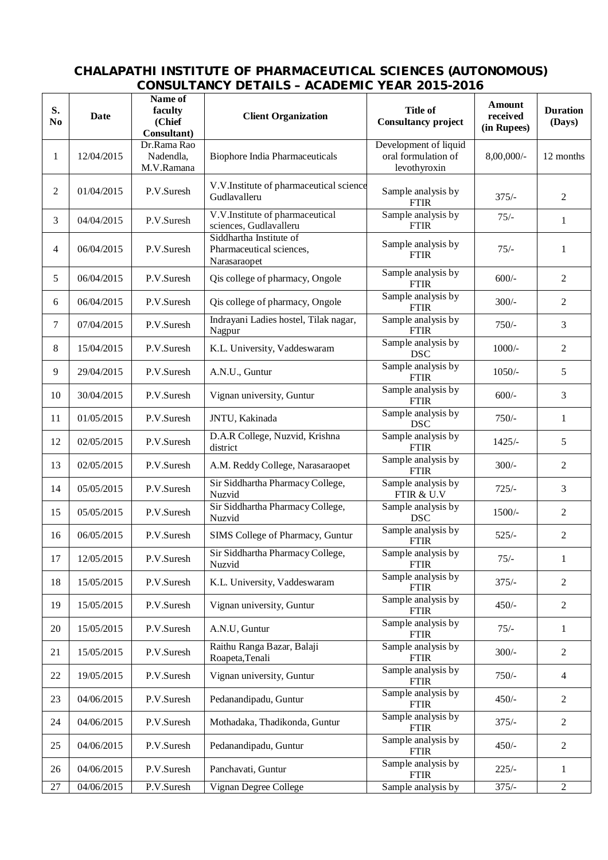## **CHALAPATHI INSTITUTE OF PHARMACEUTICAL SCIENCES (AUTONOMOUS) CONSULTANCY DETAILS – ACADEMIC YEAR 2015-2016**

| S.<br>No | <b>Date</b>          | Name of<br>faculty<br>(Chief<br>Consultant) | <b>Client Organization</b>                                          | <b>Title of</b><br><b>Consultancy project</b>                | Amount<br>received<br>(in Rupees) | <b>Duration</b><br>(Days) |
|----------|----------------------|---------------------------------------------|---------------------------------------------------------------------|--------------------------------------------------------------|-----------------------------------|---------------------------|
| 1        | 12/04/2015           | Dr.Rama Rao<br>Nadendla,<br>M.V.Ramana      | <b>Biophore India Pharmaceuticals</b>                               | Development of liquid<br>oral formulation of<br>levothyroxin | 8,00,000/-                        | 12 months                 |
| 2        | 01/04/2015           | P.V.Suresh                                  | V.V.Institute of pharmaceutical science<br>Gudlavalleru             | Sample analysis by<br><b>FTIR</b>                            | $375/-$                           | $\overline{c}$            |
| 3        | 04/04/2015           | P.V.Suresh                                  | V.V.Institute of pharmaceutical<br>sciences, Gudlavalleru           | Sample analysis by<br><b>FTIR</b>                            | $75/-$                            | $\mathbf{1}$              |
| 4        | 06/04/2015           | P.V.Suresh                                  | Siddhartha Institute of<br>Pharmaceutical sciences,<br>Narasaraopet | Sample analysis by<br><b>FTIR</b>                            | $75/-$                            | 1                         |
| 5        | 06/04/2015           | P.V.Suresh                                  | Qis college of pharmacy, Ongole                                     | Sample analysis by<br><b>FTIR</b>                            | $600/-$                           | $\overline{c}$            |
| 6        | 06/04/2015           | P.V.Suresh                                  | Qis college of pharmacy, Ongole                                     | Sample analysis by<br><b>FTIR</b>                            | $300/-$                           | 2                         |
| $\tau$   | 07/04/2015           | P.V.Suresh                                  | Indrayani Ladies hostel, Tilak nagar,<br>Nagpur                     | Sample analysis by<br><b>FTIR</b>                            | $750/-$                           | 3                         |
| 8        | 15/04/2015           | P.V.Suresh                                  | K.L. University, Vaddeswaram                                        | Sample analysis by<br><b>DSC</b>                             | $1000/-$                          | $\overline{c}$            |
| 9        | 29/04/2015           | P.V.Suresh                                  | A.N.U., Guntur                                                      | Sample analysis by<br><b>FTIR</b>                            | $1050/-$                          | 5                         |
| 10       | 30/04/2015           | P.V.Suresh                                  | Vignan university, Guntur                                           | Sample analysis by<br><b>FTIR</b>                            | $600/-$                           | 3                         |
| 11       | 01/05/2015           | P.V.Suresh                                  | JNTU, Kakinada                                                      | Sample analysis by<br><b>DSC</b>                             | $750/-$                           | $\mathbf{1}$              |
| 12       | 02/05/2015           | P.V.Suresh                                  | D.A.R College, Nuzvid, Krishna<br>district                          | Sample analysis by<br><b>FTIR</b>                            | $1425/-$                          | 5                         |
| 13       | 02/05/2015           | P.V.Suresh                                  | A.M. Reddy College, Narasaraopet                                    | Sample analysis by<br><b>FTIR</b>                            | $300/-$                           | $\overline{c}$            |
| 14       | 05/05/2015           | P.V.Suresh                                  | Sir Siddhartha Pharmacy College,<br>Nuzvid                          | Sample analysis by<br>FTIR & U.V                             | $725/-$                           | 3                         |
| 15       | 05/05/2015           | P.V.Suresh                                  | Sir Siddhartha Pharmacy College,<br>Nuzvid                          | Sample analysis by<br><b>DSC</b>                             | $1500/-$                          | 2                         |
| 16       | 06/05/2015           | P.V.Suresh                                  | SIMS College of Pharmacy, Guntur                                    | Sample analysis by<br><b>FTIR</b>                            | $525/-$                           | $\overline{c}$            |
| 17       | 12/05/2015           | P.V.Suresh                                  | Sir Siddhartha Pharmacy College,<br>Nuzvid                          | Sample analysis by<br><b>FTIR</b>                            | $75/-$                            | 1                         |
| 18       | 15/05/2015           | P.V.Suresh                                  | K.L. University, Vaddeswaram                                        | Sample analysis by<br><b>FTIR</b>                            | $375/-$                           | $\overline{c}$            |
| 19       | 15/05/2015           | P.V.Suresh                                  | Vignan university, Guntur                                           | Sample analysis by<br><b>FTIR</b>                            | $450/-$                           | $\overline{2}$            |
| 20       | 15/05/2015           | P.V.Suresh                                  | A.N.U, Guntur                                                       | Sample analysis by<br><b>FTIR</b>                            | $75/-$                            | 1                         |
| 21       | 15/05/2015           | P.V.Suresh                                  | Raithu Ranga Bazar, Balaji<br>Roapeta, Tenali                       | Sample analysis by<br><b>FTIR</b>                            | $300/-$                           | 2                         |
| 22       | 19/05/2015           | P.V.Suresh                                  | Vignan university, Guntur                                           | Sample analysis by<br><b>FTIR</b>                            | $750/-$                           | $\overline{4}$            |
| 23       | 04/06/2015           | P.V.Suresh                                  | Pedanandipadu, Guntur                                               | Sample analysis by<br><b>FTIR</b>                            | $450/-$                           | $\overline{2}$            |
| 24       | 04/06/2015           | P.V.Suresh                                  | Mothadaka, Thadikonda, Guntur                                       | Sample analysis by<br><b>FTIR</b>                            | $375/-$                           | $\overline{2}$            |
| 25       | 04/06/2015           | P.V.Suresh                                  | Pedanandipadu, Guntur                                               | Sample analysis by<br><b>FTIR</b>                            | $450/-$                           | $\overline{c}$            |
| 26       | 04/06/2015           | P.V.Suresh                                  | Panchavati, Guntur                                                  | Sample analysis by<br><b>FTIR</b>                            | $225/-$                           | 1                         |
| 27       | $\frac{04}{06}/2015$ | P.V.Suresh                                  | Vignan Degree College                                               | Sample analysis by                                           | $375/-$                           | $\overline{2}$            |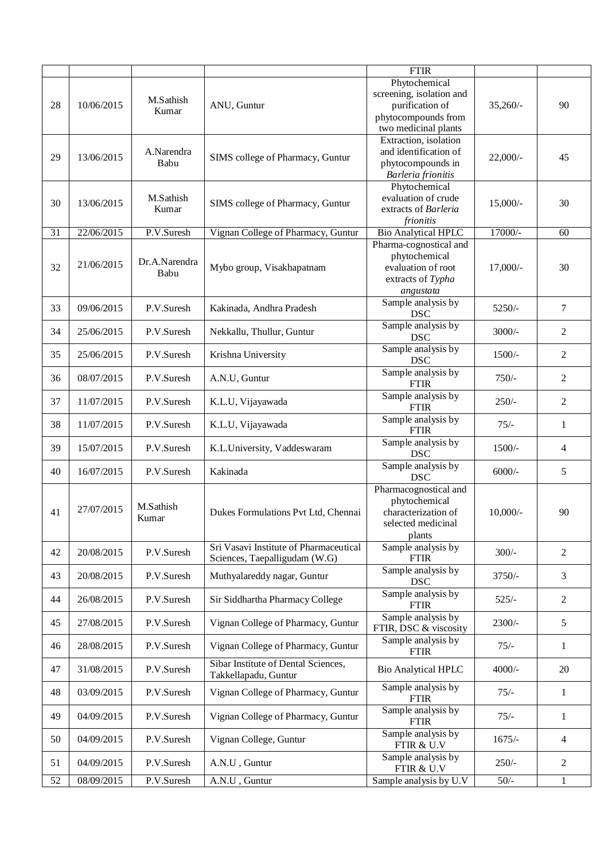|    |            |                       |                                                                         | <b>FTIR</b>                                                                                                 |             |                |
|----|------------|-----------------------|-------------------------------------------------------------------------|-------------------------------------------------------------------------------------------------------------|-------------|----------------|
| 28 | 10/06/2015 | M.Sathish<br>Kumar    | ANU, Guntur                                                             | Phytochemical<br>screening, isolation and<br>purification of<br>phytocompounds from<br>two medicinal plants | $35,260/$ - | 90             |
| 29 | 13/06/2015 | A.Narendra<br>Babu    | SIMS college of Pharmacy, Guntur                                        | Extraction, isolation<br>and identification of<br>phytocompounds in<br>Barleria frionitis                   | $22,000/$ - | 45             |
| 30 | 13/06/2015 | M.Sathish<br>Kumar    | SIMS college of Pharmacy, Guntur                                        | Phytochemical<br>evaluation of crude<br>extracts of Barleria<br>frionitis                                   | $15,000/-$  | 30             |
| 31 | 22/06/2015 | P.V.Suresh            | Vignan College of Pharmacy, Guntur                                      | <b>Bio Analytical HPLC</b>                                                                                  | 17000/-     | 60             |
| 32 | 21/06/2015 | Dr.A.Narendra<br>Babu | Mybo group, Visakhapatnam                                               | Pharma-cognostical and<br>phytochemical<br>evaluation of root<br>extracts of Typha<br>angustata             | $17,000/-$  | 30             |
| 33 | 09/06/2015 | P.V.Suresh            | Kakinada, Andhra Pradesh                                                | Sample analysis by<br><b>DSC</b>                                                                            | 5250/-      | $\tau$         |
| 34 | 25/06/2015 | P.V.Suresh            | Nekkallu, Thullur, Guntur                                               | Sample analysis by<br><b>DSC</b>                                                                            | $3000/-$    | 2              |
| 35 | 25/06/2015 | P.V.Suresh            | Krishna University                                                      | Sample analysis by<br><b>DSC</b>                                                                            | 1500/-      | 2              |
| 36 | 08/07/2015 | P.V.Suresh            | A.N.U, Guntur                                                           | Sample analysis by<br><b>FTIR</b>                                                                           | $750/-$     | 2              |
| 37 | 11/07/2015 | P.V.Suresh            | K.L.U, Vijayawada                                                       | Sample analysis by<br><b>FTIR</b>                                                                           | $250/-$     | $\overline{c}$ |
| 38 | 11/07/2015 | P.V.Suresh            | K.L.U, Vijayawada                                                       | Sample analysis by<br><b>FTIR</b>                                                                           | $75/-$      | $\mathbf{1}$   |
| 39 | 15/07/2015 | P.V.Suresh            | K.L.University, Vaddeswaram                                             | Sample analysis by<br><b>DSC</b>                                                                            | $1500/-$    | $\overline{4}$ |
| 40 | 16/07/2015 | P.V.Suresh            | Kakinada                                                                | Sample analysis by<br><b>DSC</b>                                                                            | $6000/$ -   | 5              |
| 41 | 27/07/2015 | M.Sathish<br>Kumar    | Dukes Formulations Pvt Ltd, Chennai                                     | Pharmacognostical and<br>phytochemical<br>characterization of<br>selected medicinal<br>plants               | $10,000/$ - | 90             |
| 42 | 20/08/2015 | P.V.Suresh            | Sri Vasavi Institute of Pharmaceutical<br>Sciences, Taepalligudam (W.G) | Sample analysis by<br><b>FTIR</b>                                                                           | $300/-$     | $\overline{2}$ |
| 43 | 20/08/2015 | P.V.Suresh            | Muthyalareddy nagar, Guntur                                             | Sample analysis by<br><b>DSC</b>                                                                            | 3750/-      | 3              |
| 44 | 26/08/2015 | P.V.Suresh            | Sir Siddhartha Pharmacy College                                         | Sample analysis by<br><b>FTIR</b>                                                                           | $525/-$     | 2              |
| 45 | 27/08/2015 | P.V.Suresh            | Vignan College of Pharmacy, Guntur                                      | Sample analysis by<br>FTIR, DSC & viscosity                                                                 | $2300/-$    | 5              |
| 46 | 28/08/2015 | P.V.Suresh            | Vignan College of Pharmacy, Guntur                                      | Sample analysis by<br><b>FTIR</b>                                                                           | $75/-$      | $\mathbf{1}$   |
| 47 | 31/08/2015 | P.V.Suresh            | Sibar Institute of Dental Sciences,<br>Takkellapadu, Guntur             | <b>Bio Analytical HPLC</b>                                                                                  | $4000/-$    | 20             |
| 48 | 03/09/2015 | P.V.Suresh            | Vignan College of Pharmacy, Guntur                                      | Sample analysis by<br><b>FTIR</b>                                                                           | $75/-$      | $\mathbf{1}$   |
| 49 | 04/09/2015 | P.V.Suresh            | Vignan College of Pharmacy, Guntur                                      | Sample analysis by<br><b>FTIR</b>                                                                           | $75/-$      | $\mathbf{1}$   |
| 50 | 04/09/2015 | P.V.Suresh            | Vignan College, Guntur                                                  | Sample analysis by<br>FTIR & U.V                                                                            | $1675/-$    | 4              |
| 51 | 04/09/2015 | P.V.Suresh            | A.N.U, Guntur                                                           | Sample analysis by<br>FTIR & U.V                                                                            | $250/-$     | $\overline{2}$ |
| 52 | 08/09/2015 | P.V.Suresh            | A.N.U, Guntur                                                           | Sample analysis by U.V                                                                                      | $50/-$      | $\mathbf{1}$   |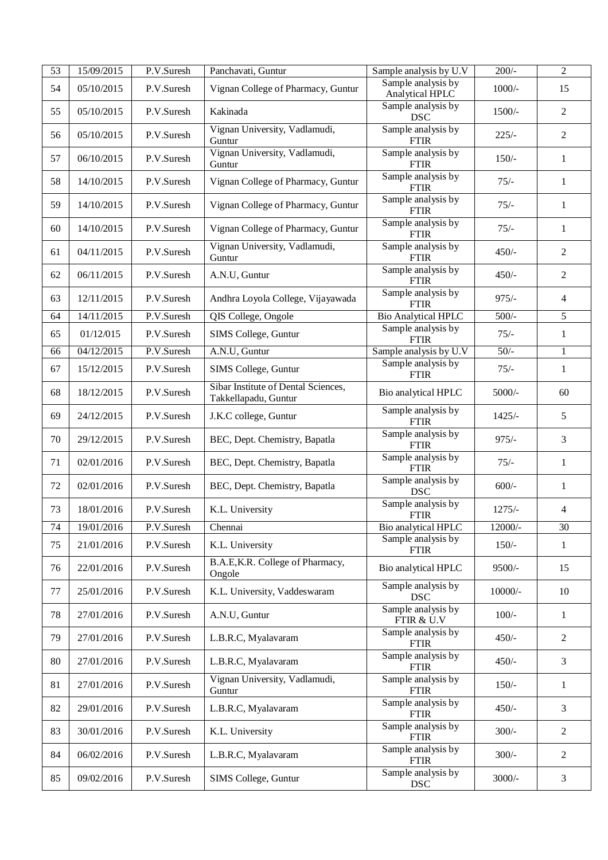| 53 | 15/09/2015 | P.V.Suresh | Panchavati, Guntur                                          | Sample analysis by U.V                | $200/-$   | $\sqrt{2}$     |
|----|------------|------------|-------------------------------------------------------------|---------------------------------------|-----------|----------------|
| 54 | 05/10/2015 | P.V.Suresh | Vignan College of Pharmacy, Guntur                          | Sample analysis by<br>Analytical HPLC | $1000/-$  | 15             |
| 55 | 05/10/2015 | P.V.Suresh | Kakinada                                                    | Sample analysis by<br><b>DSC</b>      | $1500/-$  | $\overline{2}$ |
| 56 | 05/10/2015 | P.V.Suresh | Vignan University, Vadlamudi,<br>Guntur                     | Sample analysis by<br><b>FTIR</b>     | $225/-$   | $\overline{2}$ |
| 57 | 06/10/2015 | P.V.Suresh | Vignan University, Vadlamudi,<br>Guntur                     | Sample analysis by<br><b>FTIR</b>     | $150/-$   | 1              |
| 58 | 14/10/2015 | P.V.Suresh | Vignan College of Pharmacy, Guntur                          | Sample analysis by<br><b>FTIR</b>     | $75/-$    | $\mathbf{1}$   |
| 59 | 14/10/2015 | P.V.Suresh | Vignan College of Pharmacy, Guntur                          | Sample analysis by<br><b>FTIR</b>     | $75/-$    | $\mathbf{1}$   |
| 60 | 14/10/2015 | P.V.Suresh | Vignan College of Pharmacy, Guntur                          | Sample analysis by<br><b>FTIR</b>     | $75/-$    | $\mathbf{1}$   |
| 61 | 04/11/2015 | P.V.Suresh | Vignan University, Vadlamudi,<br>Guntur                     | Sample analysis by<br><b>FTIR</b>     | $450/-$   | $\overline{2}$ |
| 62 | 06/11/2015 | P.V.Suresh | A.N.U, Guntur                                               | Sample analysis by<br><b>FTIR</b>     | $450/-$   | $\overline{2}$ |
| 63 | 12/11/2015 | P.V.Suresh | Andhra Loyola College, Vijayawada                           | Sample analysis by<br><b>FTIR</b>     | $975/-$   | $\overline{4}$ |
| 64 | 14/11/2015 | P.V.Suresh | QIS College, Ongole                                         | <b>Bio Analytical HPLC</b>            | $500/-$   | $\overline{5}$ |
| 65 | 01/12/015  | P.V.Suresh | SIMS College, Guntur                                        | Sample analysis by<br><b>FTIR</b>     | $75/-$    | $\mathbf{1}$   |
| 66 | 04/12/2015 | P.V.Suresh | A.N.U, Guntur                                               | Sample analysis by $U.V$              | $50/-$    | $\mathbf{1}$   |
| 67 | 15/12/2015 | P.V.Suresh | SIMS College, Guntur                                        | Sample analysis by<br><b>FTIR</b>     | $75/-$    | $\mathbf{1}$   |
| 68 | 18/12/2015 | P.V.Suresh | Sibar Institute of Dental Sciences,<br>Takkellapadu, Guntur | Bio analytical HPLC                   | $5000/-$  | 60             |
| 69 | 24/12/2015 | P.V.Suresh | J.K.C college, Guntur                                       | Sample analysis by<br><b>FTIR</b>     | $1425/-$  | 5              |
| 70 | 29/12/2015 | P.V.Suresh | BEC, Dept. Chemistry, Bapatla                               | Sample analysis by<br><b>FTIR</b>     | $975/-$   | $\mathfrak{Z}$ |
| 71 | 02/01/2016 | P.V.Suresh | BEC, Dept. Chemistry, Bapatla                               | Sample analysis by<br><b>FTIR</b>     | $75/-$    | $\mathbf{1}$   |
| 72 | 02/01/2016 | P.V.Suresh | BEC, Dept. Chemistry, Bapatla                               | Sample analysis by<br><b>DSC</b>      | $600/-$   | $\mathbf{1}$   |
| 73 | 18/01/2016 | P.V.Suresh | K.L. University                                             | Sample analysis by<br><b>FTIR</b>     | $1275/-$  | $\overline{4}$ |
| 74 | 19/01/2016 | P.V.Suresh | Chennai                                                     | Bio analytical HPLC                   | 12000/-   | 30             |
| 75 | 21/01/2016 | P.V.Suresh | K.L. University                                             | Sample analysis by<br><b>FTIR</b>     | $150/-$   | 1              |
| 76 | 22/01/2016 | P.V.Suresh | B.A.E, K.R. College of Pharmacy,<br>Ongole                  | Bio analytical HPLC                   | 9500/-    | 15             |
| 77 | 25/01/2016 | P.V.Suresh | K.L. University, Vaddeswaram                                | Sample analysis by<br><b>DSC</b>      | $10000/-$ | 10             |
| 78 | 27/01/2016 | P.V.Suresh | A.N.U, Guntur                                               | Sample analysis by<br>FTIR & U.V      | $100/-$   | $\mathbf{1}$   |
| 79 | 27/01/2016 | P.V.Suresh | L.B.R.C, Myalavaram                                         | Sample analysis by<br><b>FTIR</b>     | $450/-$   | $\overline{2}$ |
| 80 | 27/01/2016 | P.V.Suresh | L.B.R.C, Myalavaram                                         | Sample analysis by<br><b>FTIR</b>     | $450/-$   | $\overline{3}$ |
| 81 | 27/01/2016 | P.V.Suresh | Vignan University, Vadlamudi,<br>Guntur                     | Sample analysis by<br><b>FTIR</b>     | $150/-$   | $\mathbf{1}$   |
| 82 | 29/01/2016 | P.V.Suresh | L.B.R.C, Myalavaram                                         | Sample analysis by<br><b>FTIR</b>     | $450/-$   | 3              |
| 83 | 30/01/2016 | P.V.Suresh | K.L. University                                             | Sample analysis by<br><b>FTIR</b>     | $300/-$   | $\overline{2}$ |
| 84 | 06/02/2016 | P.V.Suresh | L.B.R.C, Myalavaram                                         | Sample analysis by<br><b>FTIR</b>     | $300/-$   | $\overline{2}$ |
| 85 | 09/02/2016 | P.V.Suresh | SIMS College, Guntur                                        | Sample analysis by<br><b>DSC</b>      | $3000/-$  | $\mathfrak{Z}$ |